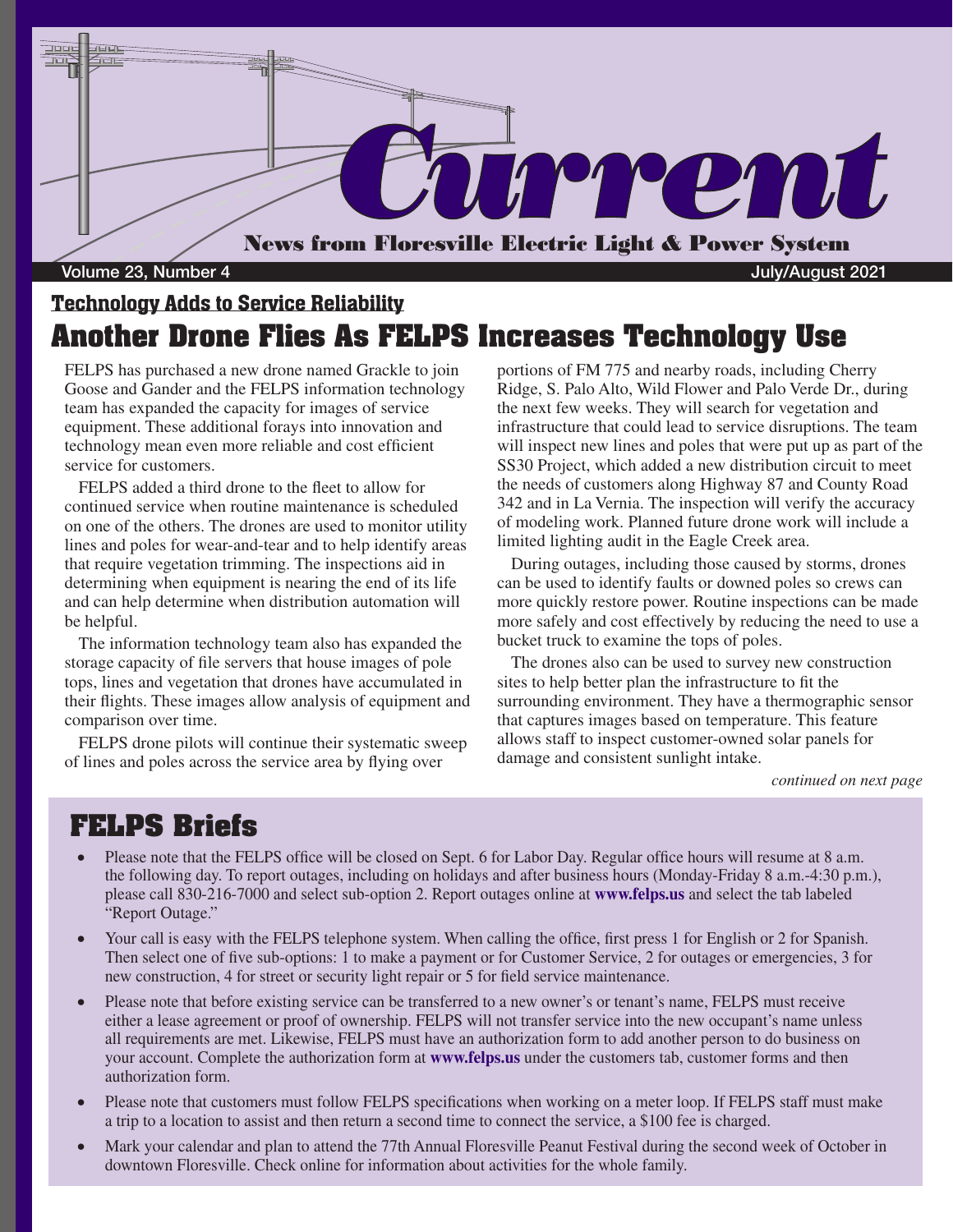

### Technology Adds to Service Reliability **Another Drone Flies As FELPS Increases Technology Use**

FELPS has purchased a new drone named Grackle to join Goose and Gander and the FELPS information technology team has expanded the capacity for images of service equipment. These additional forays into innovation and technology mean even more reliable and cost efficient service for customers.

FELPS added a third drone to the fleet to allow for continued service when routine maintenance is scheduled on one of the others. The drones are used to monitor utility lines and poles for wear-and-tear and to help identify areas that require vegetation trimming. The inspections aid in determining when equipment is nearing the end of its life and can help determine when distribution automation will be helpful.

The information technology team also has expanded the storage capacity of file servers that house images of pole tops, lines and vegetation that drones have accumulated in their flights. These images allow analysis of equipment and comparison over time.

FELPS drone pilots will continue their systematic sweep of lines and poles across the service area by flying over

portions of FM 775 and nearby roads, including Cherry Ridge, S. Palo Alto, Wild Flower and Palo Verde Dr., during the next few weeks. They will search for vegetation and infrastructure that could lead to service disruptions. The team will inspect new lines and poles that were put up as part of the SS30 Project, which added a new distribution circuit to meet the needs of customers along Highway 87 and County Road 342 and in La Vernia. The inspection will verify the accuracy of modeling work. Planned future drone work will include a limited lighting audit in the Eagle Creek area.

During outages, including those caused by storms, drones can be used to identify faults or downed poles so crews can more quickly restore power. Routine inspections can be made more safely and cost effectively by reducing the need to use a bucket truck to examine the tops of poles.

The drones also can be used to survey new construction sites to help better plan the infrastructure to fit the surrounding environment. They have a thermographic sensor that captures images based on temperature. This feature allows staff to inspect customer-owned solar panels for damage and consistent sunlight intake.

*continued on next page*

### **FELPS Briefs**

- Please note that the FELPS office will be closed on Sept. 6 for Labor Day. Regular office hours will resume at 8 a.m. the following day. To report outages, including on holidays and after business hours (Monday-Friday 8 a.m.-4:30 p.m.), please call 830-216-7000 and select sub-option 2. Report outages online at **www.felps.us** and select the tab labeled "Report Outage."
- Your call is easy with the FELPS telephone system. When calling the office, first press 1 for English or 2 for Spanish. Then select one of five sub-options: 1 to make a payment or for Customer Service, 2 for outages or emergencies, 3 for new construction, 4 for street or security light repair or 5 for field service maintenance.
- Please note that before existing service can be transferred to a new owner's or tenant's name, FELPS must receive either a lease agreement or proof of ownership. FELPS will not transfer service into the new occupant's name unless all requirements are met. Likewise, FELPS must have an authorization form to add another person to do business on your account. Complete the authorization form at **www.felps.us** under the customers tab, customer forms and then authorization form.
- Please note that customers must follow FELPS specifications when working on a meter loop. If FELPS staff must make a trip to a location to assist and then return a second time to connect the service, a \$100 fee is charged.
- Mark your calendar and plan to attend the 77th Annual Floresville Peanut Festival during the second week of October in downtown Floresville. Check online for information about activities for the whole family.